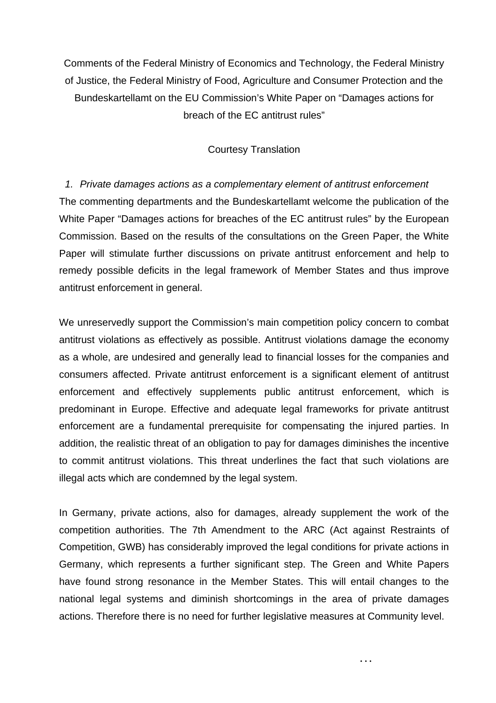Comments of the Federal Ministry of Economics and Technology, the Federal Ministry of Justice, the Federal Ministry of Food, Agriculture and Consumer Protection and the Bundeskartellamt on the EU Commission's White Paper on "Damages actions for breach of the EC antitrust rules"

# Courtesy Translation

*1. Private damages actions as a complementary element of antitrust enforcement*  The commenting departments and the Bundeskartellamt welcome the publication of the White Paper "Damages actions for breaches of the EC antitrust rules" by the European Commission. Based on the results of the consultations on the Green Paper, the White Paper will stimulate further discussions on private antitrust enforcement and help to remedy possible deficits in the legal framework of Member States and thus improve antitrust enforcement in general.

We unreservedly support the Commission's main competition policy concern to combat antitrust violations as effectively as possible. Antitrust violations damage the economy as a whole, are undesired and generally lead to financial losses for the companies and consumers affected. Private antitrust enforcement is a significant element of antitrust enforcement and effectively supplements public antitrust enforcement, which is predominant in Europe. Effective and adequate legal frameworks for private antitrust enforcement are a fundamental prerequisite for compensating the injured parties. In addition, the realistic threat of an obligation to pay for damages diminishes the incentive to commit antitrust violations. This threat underlines the fact that such violations are illegal acts which are condemned by the legal system.

In Germany, private actions, also for damages, already supplement the work of the competition authorities. The 7th Amendment to the ARC (Act against Restraints of Competition, GWB) has considerably improved the legal conditions for private actions in Germany, which represents a further significant step. The Green and White Papers have found strong resonance in the Member States. This will entail changes to the national legal systems and diminish shortcomings in the area of private damages actions. Therefore there is no need for further legislative measures at Community level.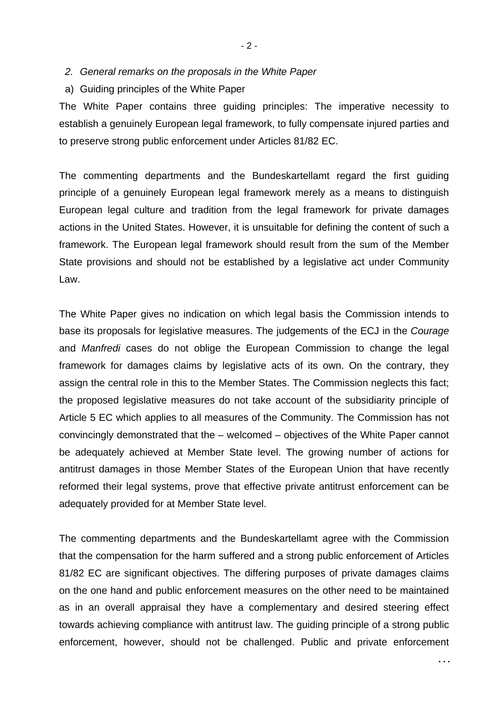- *2. General remarks on the proposals in the White Paper*
- a) Guiding principles of the White Paper

The White Paper contains three guiding principles: The imperative necessity to establish a genuinely European legal framework, to fully compensate injured parties and to preserve strong public enforcement under Articles 81/82 EC.

The commenting departments and the Bundeskartellamt regard the first guiding principle of a genuinely European legal framework merely as a means to distinguish European legal culture and tradition from the legal framework for private damages actions in the United States. However, it is unsuitable for defining the content of such a framework. The European legal framework should result from the sum of the Member State provisions and should not be established by a legislative act under Community Law.

The White Paper gives no indication on which legal basis the Commission intends to base its proposals for legislative measures. The judgements of the ECJ in the *Courage* and *Manfredi* cases do not oblige the European Commission to change the legal framework for damages claims by legislative acts of its own. On the contrary, they assign the central role in this to the Member States. The Commission neglects this fact; the proposed legislative measures do not take account of the subsidiarity principle of Article 5 EC which applies to all measures of the Community. The Commission has not convincingly demonstrated that the – welcomed – objectives of the White Paper cannot be adequately achieved at Member State level. The growing number of actions for antitrust damages in those Member States of the European Union that have recently reformed their legal systems, prove that effective private antitrust enforcement can be adequately provided for at Member State level.

The commenting departments and the Bundeskartellamt agree with the Commission that the compensation for the harm suffered and a strong public enforcement of Articles 81/82 EC are significant objectives. The differing purposes of private damages claims on the one hand and public enforcement measures on the other need to be maintained as in an overall appraisal they have a complementary and desired steering effect towards achieving compliance with antitrust law. The guiding principle of a strong public enforcement, however, should not be challenged. Public and private enforcement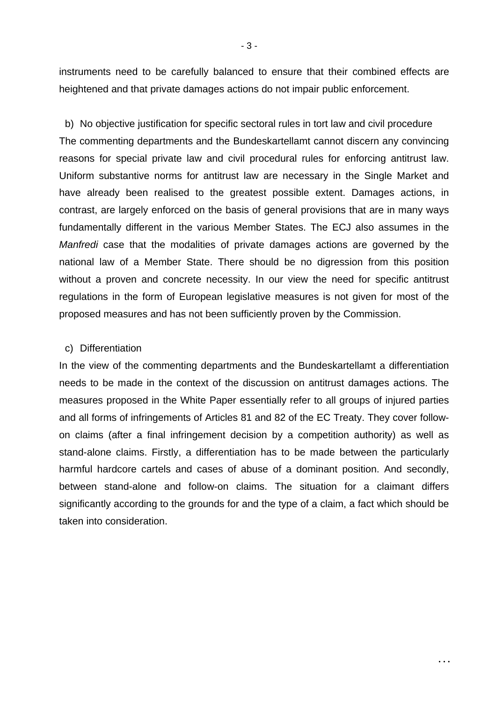instruments need to be carefully balanced to ensure that their combined effects are heightened and that private damages actions do not impair public enforcement.

b) No objective justification for specific sectoral rules in tort law and civil procedure The commenting departments and the Bundeskartellamt cannot discern any convincing reasons for special private law and civil procedural rules for enforcing antitrust law. Uniform substantive norms for antitrust law are necessary in the Single Market and have already been realised to the greatest possible extent. Damages actions, in contrast, are largely enforced on the basis of general provisions that are in many ways fundamentally different in the various Member States. The ECJ also assumes in the *Manfredi* case that the modalities of private damages actions are governed by the national law of a Member State. There should be no digression from this position without a proven and concrete necessity. In our view the need for specific antitrust regulations in the form of European legislative measures is not given for most of the proposed measures and has not been sufficiently proven by the Commission.

### c) Differentiation

In the view of the commenting departments and the Bundeskartellamt a differentiation needs to be made in the context of the discussion on antitrust damages actions. The measures proposed in the White Paper essentially refer to all groups of injured parties and all forms of infringements of Articles 81 and 82 of the EC Treaty. They cover followon claims (after a final infringement decision by a competition authority) as well as stand-alone claims. Firstly, a differentiation has to be made between the particularly harmful hardcore cartels and cases of abuse of a dominant position. And secondly, between stand-alone and follow-on claims. The situation for a claimant differs significantly according to the grounds for and the type of a claim, a fact which should be taken into consideration.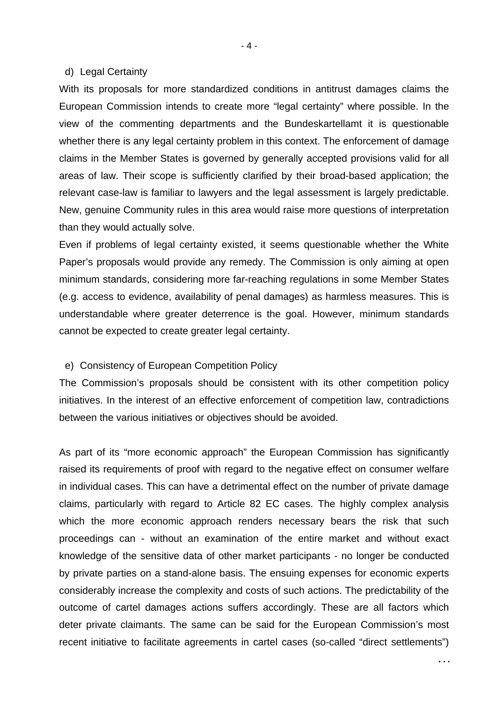#### d) Legal Certainty

With its proposals for more standardized conditions in antitrust damages claims the European Commission intends to create more "legal certainty" where possible. In the view of the commenting departments and the Bundeskartellamt it is questionable whether there is any legal certainty problem in this context. The enforcement of damage claims in the Member States is governed by generally accepted provisions valid for all areas of law. Their scope is sufficiently clarified by their broad-based application; the relevant case-law is familiar to lawyers and the legal assessment is largely predictable. New, genuine Community rules in this area would raise more questions of interpretation than they would actually solve.

Even if problems of legal certainty existed, it seems questionable whether the White Paper's proposals would provide any remedy. The Commission is only aiming at open minimum standards, considering more far-reaching regulations in some Member States (e.g. access to evidence, availability of penal damages) as harmless measures. This is understandable where greater deterrence is the goal. However, minimum standards cannot be expected to create greater legal certainty.

#### e) Consistency of European Competition Policy

The Commission's proposals should be consistent with its other competition policy initiatives. In the interest of an effective enforcement of competition law, contradictions between the various initiatives or objectives should be avoided.

As part of its "more economic approach" the European Commission has significantly raised its requirements of proof with regard to the negative effect on consumer welfare in individual cases. This can have a detrimental effect on the number of private damage claims, particularly with regard to Article 82 EC cases. The highly complex analysis which the more economic approach renders necessary bears the risk that such proceedings can - without an examination of the entire market and without exact knowledge of the sensitive data of other market participants - no longer be conducted by private parties on a stand-alone basis. The ensuing expenses for economic experts considerably increase the complexity and costs of such actions. The predictability of the outcome of cartel damages actions suffers accordingly. These are all factors which deter private claimants. The same can be said for the European Commission's most recent initiative to facilitate agreements in cartel cases (so-called "direct settlements")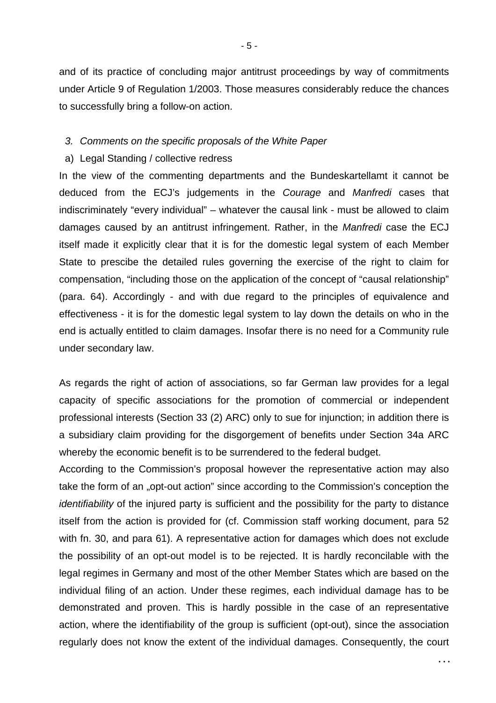and of its practice of concluding major antitrust proceedings by way of commitments under Article 9 of Regulation 1/2003. Those measures considerably reduce the chances to successfully bring a follow-on action.

## *3. Comments on the specific proposals of the White Paper*

### a) Legal Standing / collective redress

In the view of the commenting departments and the Bundeskartellamt it cannot be deduced from the ECJ's judgements in the *Courage* and *Manfredi* cases that indiscriminately "every individual" – whatever the causal link - must be allowed to claim damages caused by an antitrust infringement. Rather, in the *Manfredi* case the ECJ itself made it explicitly clear that it is for the domestic legal system of each Member State to prescibe the detailed rules governing the exercise of the right to claim for compensation, "including those on the application of the concept of "causal relationship" (para. 64). Accordingly - and with due regard to the principles of equivalence and effectiveness - it is for the domestic legal system to lay down the details on who in the end is actually entitled to claim damages. Insofar there is no need for a Community rule under secondary law.

As regards the right of action of associations, so far German law provides for a legal capacity of specific associations for the promotion of commercial or independent professional interests (Section 33 (2) ARC) only to sue for injunction; in addition there is a subsidiary claim providing for the disgorgement of benefits under Section 34a ARC whereby the economic benefit is to be surrendered to the federal budget.

According to the Commission's proposal however the representative action may also take the form of an "opt-out action" since according to the Commission's conception the *identifiability* of the injured party is sufficient and the possibility for the party to distance itself from the action is provided for (cf. Commission staff working document, para 52 with fn. 30, and para 61). A representative action for damages which does not exclude the possibility of an opt-out model is to be rejected. It is hardly reconcilable with the legal regimes in Germany and most of the other Member States which are based on the individual filing of an action. Under these regimes, each individual damage has to be demonstrated and proven. This is hardly possible in the case of an representative action, where the identifiability of the group is sufficient (opt-out), since the association regularly does not know the extent of the individual damages. Consequently, the court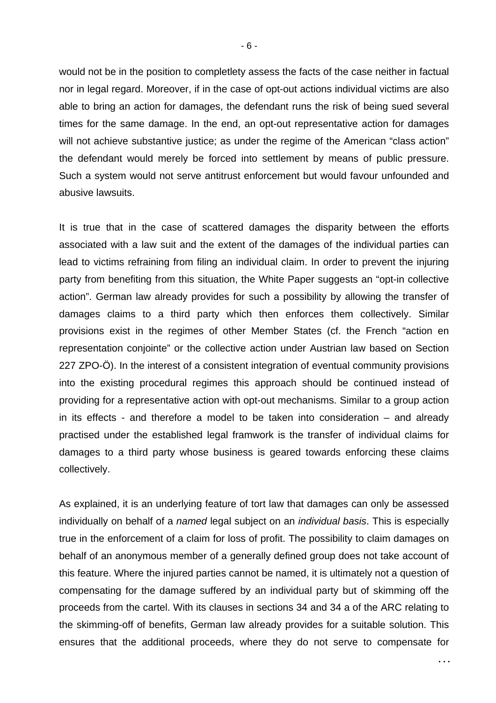would not be in the position to completlety assess the facts of the case neither in factual nor in legal regard. Moreover, if in the case of opt-out actions individual victims are also able to bring an action for damages, the defendant runs the risk of being sued several times for the same damage. In the end, an opt-out representative action for damages will not achieve substantive justice; as under the regime of the American "class action" the defendant would merely be forced into settlement by means of public pressure. Such a system would not serve antitrust enforcement but would favour unfounded and abusive lawsuits.

It is true that in the case of scattered damages the disparity between the efforts associated with a law suit and the extent of the damages of the individual parties can lead to victims refraining from filing an individual claim. In order to prevent the injuring party from benefiting from this situation, the White Paper suggests an "opt-in collective action". German law already provides for such a possibility by allowing the transfer of damages claims to a third party which then enforces them collectively. Similar provisions exist in the regimes of other Member States (cf. the French "action en representation conjointe" or the collective action under Austrian law based on Section 227 ZPO-Ö). In the interest of a consistent integration of eventual community provisions into the existing procedural regimes this approach should be continued instead of providing for a representative action with opt-out mechanisms. Similar to a group action in its effects - and therefore a model to be taken into consideration – and already practised under the established legal framwork is the transfer of individual claims for damages to a third party whose business is geared towards enforcing these claims collectively.

As explained, it is an underlying feature of tort law that damages can only be assessed individually on behalf of a *named* legal subject on an *individual basis*. This is especially true in the enforcement of a claim for loss of profit. The possibility to claim damages on behalf of an anonymous member of a generally defined group does not take account of this feature. Where the injured parties cannot be named, it is ultimately not a question of compensating for the damage suffered by an individual party but of skimming off the proceeds from the cartel. With its clauses in sections 34 and 34 a of the ARC relating to the skimming-off of benefits, German law already provides for a suitable solution. This ensures that the additional proceeds, where they do not serve to compensate for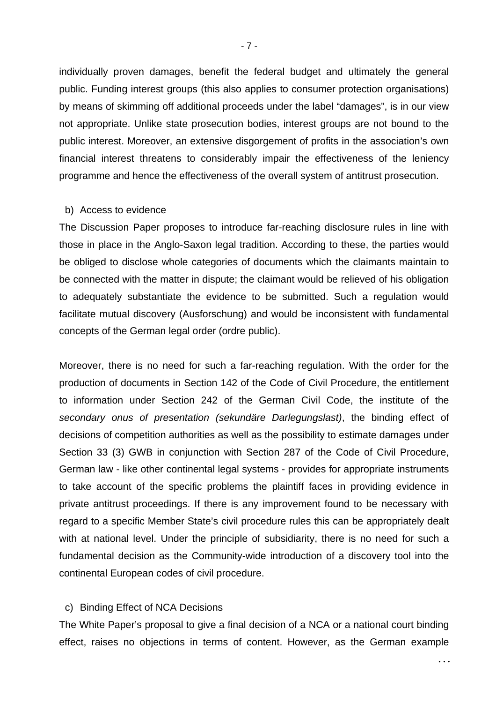individually proven damages, benefit the federal budget and ultimately the general public. Funding interest groups (this also applies to consumer protection organisations) by means of skimming off additional proceeds under the label "damages", is in our view not appropriate. Unlike state prosecution bodies, interest groups are not bound to the public interest. Moreover, an extensive disgorgement of profits in the association's own financial interest threatens to considerably impair the effectiveness of the leniency programme and hence the effectiveness of the overall system of antitrust prosecution.

#### b) Access to evidence

The Discussion Paper proposes to introduce far-reaching disclosure rules in line with those in place in the Anglo-Saxon legal tradition. According to these, the parties would be obliged to disclose whole categories of documents which the claimants maintain to be connected with the matter in dispute; the claimant would be relieved of his obligation to adequately substantiate the evidence to be submitted. Such a regulation would facilitate mutual discovery (Ausforschung) and would be inconsistent with fundamental concepts of the German legal order (ordre public).

Moreover, there is no need for such a far-reaching regulation. With the order for the production of documents in Section 142 of the Code of Civil Procedure, the entitlement to information under Section 242 of the German Civil Code, the institute of the *secondary onus of presentation (sekundäre Darlegungslast)*, the binding effect of decisions of competition authorities as well as the possibility to estimate damages under Section 33 (3) GWB in conjunction with Section 287 of the Code of Civil Procedure, German law - like other continental legal systems - provides for appropriate instruments to take account of the specific problems the plaintiff faces in providing evidence in private antitrust proceedings. If there is any improvement found to be necessary with regard to a specific Member State's civil procedure rules this can be appropriately dealt with at national level. Under the principle of subsidiarity, there is no need for such a fundamental decision as the Community-wide introduction of a discovery tool into the continental European codes of civil procedure.

# c) Binding Effect of NCA Decisions

The White Paper's proposal to give a final decision of a NCA or a national court binding effect, raises no objections in terms of content. However, as the German example

**. . .**

- 7 -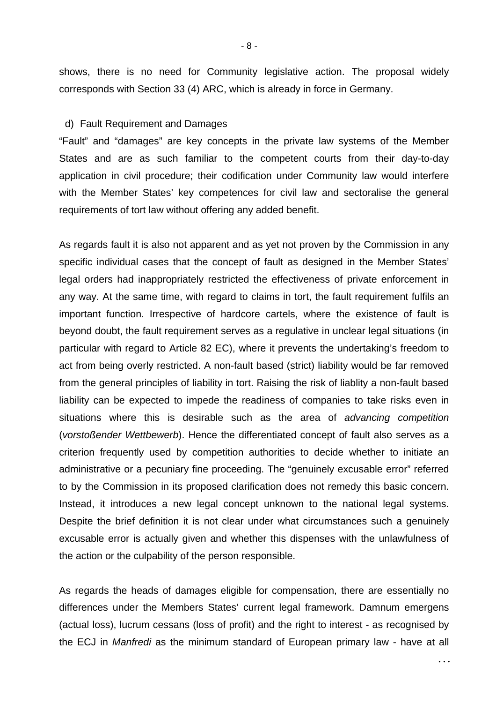shows, there is no need for Community legislative action. The proposal widely corresponds with Section 33 (4) ARC, which is already in force in Germany.

### d) Fault Requirement and Damages

"Fault" and "damages" are key concepts in the private law systems of the Member States and are as such familiar to the competent courts from their day-to-day application in civil procedure; their codification under Community law would interfere with the Member States' key competences for civil law and sectoralise the general requirements of tort law without offering any added benefit.

As regards fault it is also not apparent and as yet not proven by the Commission in any specific individual cases that the concept of fault as designed in the Member States' legal orders had inappropriately restricted the effectiveness of private enforcement in any way. At the same time, with regard to claims in tort, the fault requirement fulfils an important function. Irrespective of hardcore cartels, where the existence of fault is beyond doubt, the fault requirement serves as a regulative in unclear legal situations (in particular with regard to Article 82 EC), where it prevents the undertaking's freedom to act from being overly restricted. A non-fault based (strict) liability would be far removed from the general principles of liability in tort. Raising the risk of liablity a non-fault based liability can be expected to impede the readiness of companies to take risks even in situations where this is desirable such as the area of *advancing competition* (*vorstoßender Wettbewerb*). Hence the differentiated concept of fault also serves as a criterion frequently used by competition authorities to decide whether to initiate an administrative or a pecuniary fine proceeding. The "genuinely excusable error" referred to by the Commission in its proposed clarification does not remedy this basic concern. Instead, it introduces a new legal concept unknown to the national legal systems. Despite the brief definition it is not clear under what circumstances such a genuinely excusable error is actually given and whether this dispenses with the unlawfulness of the action or the culpability of the person responsible.

As regards the heads of damages eligible for compensation, there are essentially no differences under the Members States' current legal framework. Damnum emergens (actual loss), lucrum cessans (loss of profit) and the right to interest - as recognised by the ECJ in *Manfredi* as the minimum standard of European primary law - have at all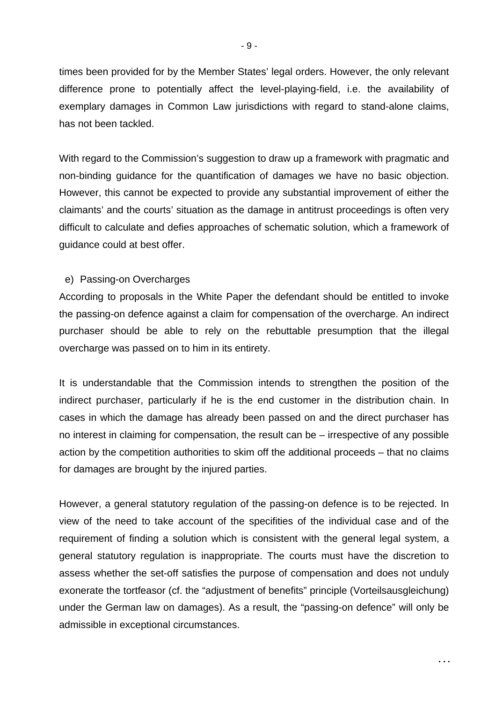times been provided for by the Member States' legal orders. However, the only relevant difference prone to potentially affect the level-playing-field, i.e. the availability of exemplary damages in Common Law jurisdictions with regard to stand-alone claims, has not been tackled.

With regard to the Commission's suggestion to draw up a framework with pragmatic and non-binding guidance for the quantification of damages we have no basic objection. However, this cannot be expected to provide any substantial improvement of either the claimants' and the courts' situation as the damage in antitrust proceedings is often very difficult to calculate and defies approaches of schematic solution, which a framework of guidance could at best offer.

## e) Passing-on Overcharges

According to proposals in the White Paper the defendant should be entitled to invoke the passing-on defence against a claim for compensation of the overcharge. An indirect purchaser should be able to rely on the rebuttable presumption that the illegal overcharge was passed on to him in its entirety.

It is understandable that the Commission intends to strengthen the position of the indirect purchaser, particularly if he is the end customer in the distribution chain. In cases in which the damage has already been passed on and the direct purchaser has no interest in claiming for compensation, the result can be – irrespective of any possible action by the competition authorities to skim off the additional proceeds – that no claims for damages are brought by the injured parties.

However, a general statutory regulation of the passing-on defence is to be rejected. In view of the need to take account of the specifities of the individual case and of the requirement of finding a solution which is consistent with the general legal system, a general statutory regulation is inappropriate. The courts must have the discretion to assess whether the set-off satisfies the purpose of compensation and does not unduly exonerate the tortfeasor (cf. the "adjustment of benefits" principle (Vorteilsausgleichung) under the German law on damages). As a result, the "passing-on defence" will only be admissible in exceptional circumstances.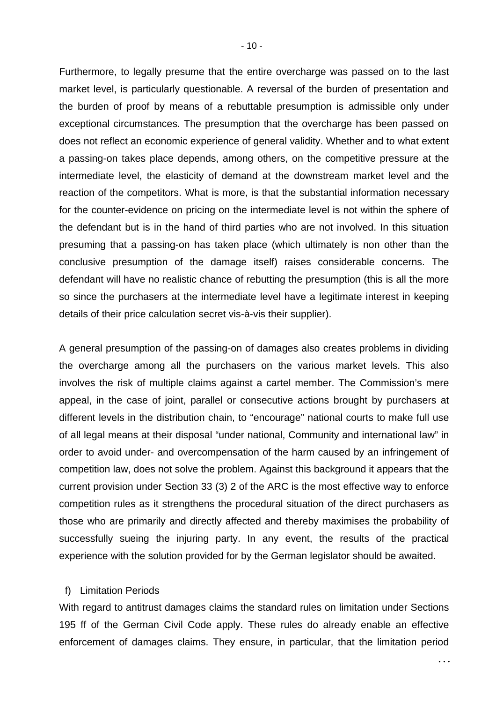Furthermore, to legally presume that the entire overcharge was passed on to the last market level, is particularly questionable. A reversal of the burden of presentation and the burden of proof by means of a rebuttable presumption is admissible only under exceptional circumstances. The presumption that the overcharge has been passed on does not reflect an economic experience of general validity. Whether and to what extent a passing-on takes place depends, among others, on the competitive pressure at the intermediate level, the elasticity of demand at the downstream market level and the reaction of the competitors. What is more, is that the substantial information necessary for the counter-evidence on pricing on the intermediate level is not within the sphere of the defendant but is in the hand of third parties who are not involved. In this situation presuming that a passing-on has taken place (which ultimately is non other than the conclusive presumption of the damage itself) raises considerable concerns. The defendant will have no realistic chance of rebutting the presumption (this is all the more so since the purchasers at the intermediate level have a legitimate interest in keeping details of their price calculation secret vis-à-vis their supplier).

A general presumption of the passing-on of damages also creates problems in dividing the overcharge among all the purchasers on the various market levels. This also involves the risk of multiple claims against a cartel member. The Commission's mere appeal, in the case of joint, parallel or consecutive actions brought by purchasers at different levels in the distribution chain, to "encourage" national courts to make full use of all legal means at their disposal "under national, Community and international law" in order to avoid under- and overcompensation of the harm caused by an infringement of competition law, does not solve the problem. Against this background it appears that the current provision under Section 33 (3) 2 of the ARC is the most effective way to enforce competition rules as it strengthens the procedural situation of the direct purchasers as those who are primarily and directly affected and thereby maximises the probability of successfully sueing the injuring party. In any event, the results of the practical experience with the solution provided for by the German legislator should be awaited.

### f) Limitation Periods

With regard to antitrust damages claims the standard rules on limitation under Sections 195 ff of the German Civil Code apply. These rules do already enable an effective enforcement of damages claims. They ensure, in particular, that the limitation period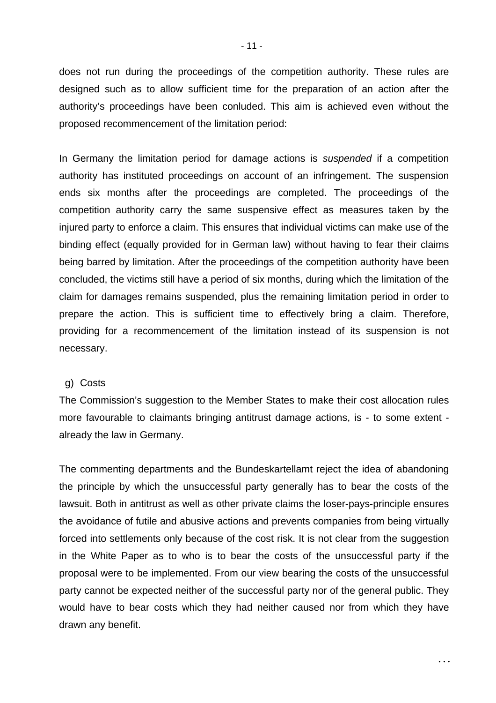does not run during the proceedings of the competition authority. These rules are designed such as to allow sufficient time for the preparation of an action after the authority's proceedings have been conluded. This aim is achieved even without the proposed recommencement of the limitation period:

In Germany the limitation period for damage actions is *suspended* if a competition authority has instituted proceedings on account of an infringement. The suspension ends six months after the proceedings are completed. The proceedings of the competition authority carry the same suspensive effect as measures taken by the injured party to enforce a claim. This ensures that individual victims can make use of the binding effect (equally provided for in German law) without having to fear their claims being barred by limitation. After the proceedings of the competition authority have been concluded, the victims still have a period of six months, during which the limitation of the claim for damages remains suspended, plus the remaining limitation period in order to prepare the action. This is sufficient time to effectively bring a claim. Therefore, providing for a recommencement of the limitation instead of its suspension is not necessary.

### g) Costs

The Commission's suggestion to the Member States to make their cost allocation rules more favourable to claimants bringing antitrust damage actions, is - to some extent already the law in Germany.

The commenting departments and the Bundeskartellamt reject the idea of abandoning the principle by which the unsuccessful party generally has to bear the costs of the lawsuit. Both in antitrust as well as other private claims the loser-pays-principle ensures the avoidance of futile and abusive actions and prevents companies from being virtually forced into settlements only because of the cost risk. It is not clear from the suggestion in the White Paper as to who is to bear the costs of the unsuccessful party if the proposal were to be implemented. From our view bearing the costs of the unsuccessful party cannot be expected neither of the successful party nor of the general public. They would have to bear costs which they had neither caused nor from which they have drawn any benefit.